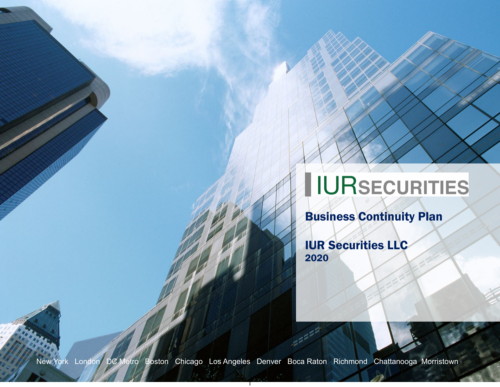# IURSECURITIES

Business Continuity Plan

IUR Securities LLC 2020

New York London DC Metro Boston Chicago Los Angeles Denver Boca Raton Richmond Chattanooga Morristown

1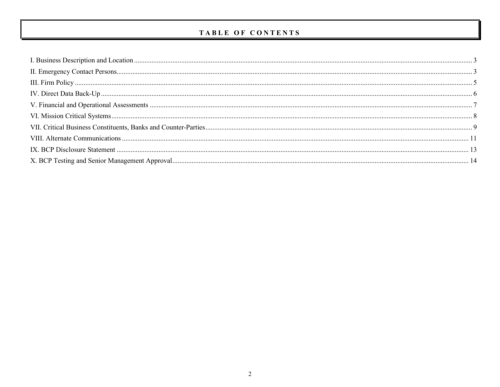# TABLE OF CONTENTS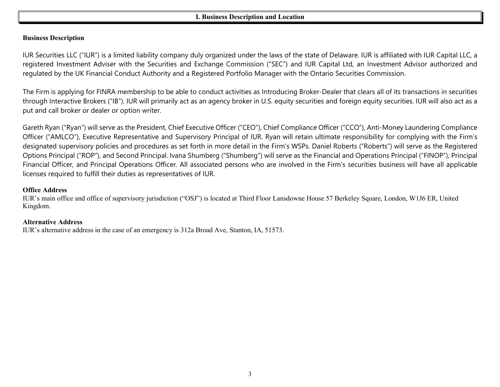# **I. Business Description and Location**

## <span id="page-2-0"></span>**Business Description**

IUR Securities LLC ("IUR") is a limited liability company duly organized under the laws of the state of Delaware. IUR is affiliated with IUR Capital LLC, a registered Investment Adviser with the Securities and Exchange Commission ("SEC") and IUR Capital Ltd, an Investment Advisor authorized and regulated by the UK Financial Conduct Authority and a Registered Portfolio Manager with the Ontario Securities Commission.

The Firm is applying for FINRA membership to be able to conduct activities as Introducing Broker-Dealer that clears all of its transactions in securities through Interactive Brokers ("IB"). IUR will primarily act as an agency broker in U.S. equity securities and foreign equity securities. IUR will also act as a put and call broker or dealer or option writer.

Gareth Ryan ("Ryan") will serve as the President, Chief Executive Officer ("CEO"), Chief Compliance Officer ("CCO"), Anti-Money Laundering Compliance Officer ("AMLCO"), Executive Representative and Supervisory Principal of IUR. Ryan will retain ultimate responsibility for complying with the Firm's designated supervisory policies and procedures as set forth in more detail in the Firm's WSPs. Daniel Roberts ("Roberts") will serve as the Registered Options Principal ("ROP"), and Second Principal. Ivana Shumberg ("Shumberg") will serve as the Financial and Operations Principal ("FINOP"), Principal Financial Officer, and Principal Operations Officer. All associated persons who are involved in the Firm's securities business will have all applicable licenses required to fulfill their duties as representatives of IUR.

#### **Office Address**

IUR's main office and office of supervisory jurisdiction ("OSJ") is located at Third Floor Lansdowne House 57 Berkeley Square, London, W1J6 ER, United Kingdom.

#### <span id="page-2-1"></span>**Alternative Address**

IUR's alternative address in the case of an emergency is 312a Broad Ave, Stanton, IA, 51573.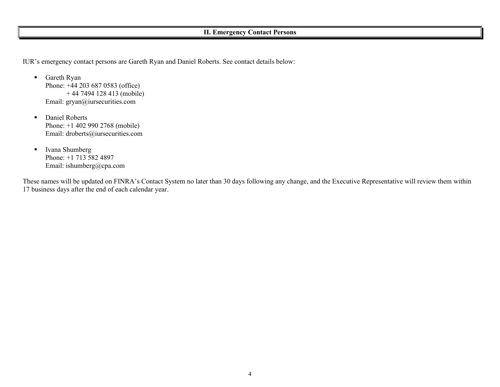# **II. Emergency Contact Persons**

IUR's emergency contact persons are Gareth Ryan and Daniel Roberts. See contact details below:

- Gareth Ryan Phone: +44 203 687 0583 (office) + 44 7494 128 413 (mobile) Email: gryan@iursecurities.com
- **Daniel Roberts** Phone: +1 402 990 2768 (mobile) Email: droberts@iursecurities.com
- **Ivana Shumberg** Phone: +1 713 582 4897 Email: ishumberg@cpa.com

These names will be updated on FINRA's Contact System no later than 30 days following any change, and the Executive Representative will review them within 17 business days after the end of each calendar year.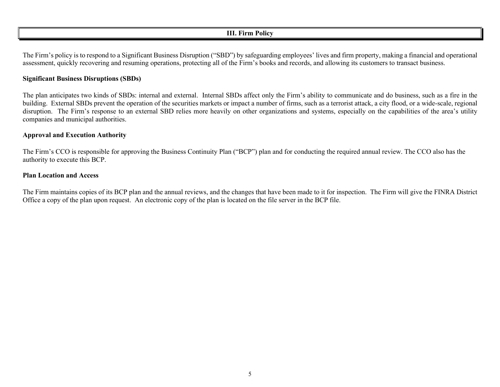# **III. Firm Policy**

<span id="page-4-0"></span>The Firm's policy is to respond to a Significant Business Disruption ("SBD") by safeguarding employees' lives and firm property, making a financial and operational assessment, quickly recovering and resuming operations, protecting all of the Firm's books and records, and allowing its customers to transact business.

# **Significant Business Disruptions (SBDs)**

The plan anticipates two kinds of SBDs: internal and external. Internal SBDs affect only the Firm's ability to communicate and do business, such as a fire in the building. External SBDs prevent the operation of the securities markets or impact a number of firms, such as a terrorist attack, a city flood, or a wide-scale, regional disruption. The Firm's response to an external SBD relies more heavily on other organizations and systems, especially on the capabilities of the area's utility companies and municipal authorities.

# **Approval and Execution Authority**

The Firm's CCO is responsible for approving the Business Continuity Plan ("BCP") plan and for conducting the required annual review. The CCO also has the authority to execute this BCP.

#### **Plan Location and Access**

The Firm maintains copies of its BCP plan and the annual reviews, and the changes that have been made to it for inspection. The Firm will give the FINRA District Office a copy of the plan upon request. An electronic copy of the plan is located on the file server in the BCP file.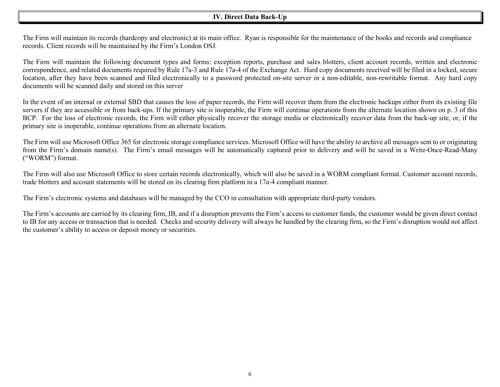# **IV. Direct Data Back-Up**

<span id="page-5-0"></span>The Firm will maintain its records (hardcopy and electronic) at its main office. Ryan is responsible for the maintenance of the books and records and compliance records. Client records will be maintained by the Firm's London OSJ.

The Firm will maintain the following document types and forms: exception reports, purchase and sales blotters, client account records, written and electronic correspondence, and related documents required by Rule 17a-3 and Rule 17a-4 of the Exchange Act. Hard copy documents received will be filed in a locked, secure location, after they have been scanned and filed electronically to a password protected on-site server in a non-editable, non-rewritable format. Any hard copy documents will be scanned daily and stored on this server

In the event of an internal or external SBD that causes the loss of paper records, the Firm will recover them from the electronic backups either from its existing file servers if they are accessible or from back-ups. If the primary site is inoperable, the Firm will continue operations from the alternate location shown on p. 3 of this BCP. For the loss of electronic records, the Firm will either physically recover the storage media or electronically recover data from the back-up site, or, if the primary site is inoperable, continue operations from an alternate location.

The Firm will use Microsoft Office 365 for electronic storage compliance services. Microsoft Office will have the ability to archive all messages sent to or originating from the Firm's domain name(s). The Firm's email messages will be automatically captured prior to delivery and will be saved in a Write-Once-Read-Many ("WORM") format.

The Firm will also use Microsoft Office to store certain records electronically, which will also be saved in a WORM compliant format. Customer account records, trade blotters and account statements will be stored on its clearing firm platform in a 17a-4 compliant manner.

The Firm's electronic systems and databases will be managed by the CCO in consultation with appropriate third-party vendors.

The Firm's accounts are carried by its clearing firm, IB, and if a disruption prevents the Firm's access to customer funds, the customer would be given direct contact to IB for any access or transaction that is needed. Checks and security delivery will always be handled by the clearing firm, so the Firm's disruption would not affect the customer's ability to access or deposit money or securities.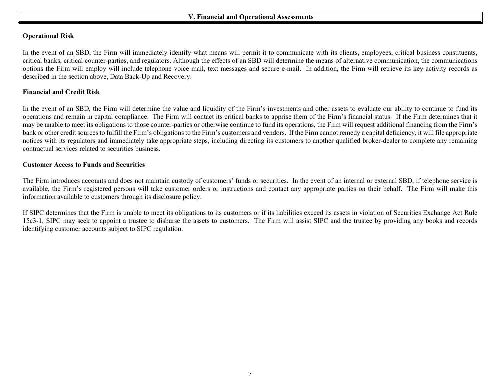## <span id="page-6-0"></span>**V. Financial and Operational Assessments**

#### **Operational Risk**

In the event of an SBD, the Firm will immediately identify what means will permit it to communicate with its clients, employees, critical business constituents, critical banks, critical counter-parties, and regulators. Although the effects of an SBD will determine the means of alternative communication, the communications options the Firm will employ will include telephone voice mail, text messages and secure e-mail. In addition, the Firm will retrieve its key activity records as described in the section above, Data Back-Up and Recovery.

#### **Financial and Credit Risk**

In the event of an SBD, the Firm will determine the value and liquidity of the Firm's investments and other assets to evaluate our ability to continue to fund its operations and remain in capital compliance. The Firm will contact its critical banks to apprise them of the Firm's financial status. If the Firm determines that it may be unable to meet its obligations to those counter-parties or otherwise continue to fund its operations, the Firm will request additional financing from the Firm's bank or other credit sources to fulfill the Firm's obligations to the Firm's customers and vendors. If the Firm cannot remedy a capital deficiency, it will file appropriate notices with its regulators and immediately take appropriate steps, including directing its customers to another qualified broker-dealer to complete any remaining contractual services related to securities business.

#### **Customer Access to Funds and Securities**

The Firm introduces accounts and does not maintain custody of customers' funds or securities. In the event of an internal or external SBD, if telephone service is available, the Firm's registered persons will take customer orders or instructions and contact any appropriate parties on their behalf. The Firm will make this information available to customers through its disclosure policy.

If SIPC determines that the Firm is unable to meet its obligations to its customers or if its liabilities exceed its assets in violation of Securities Exchange Act Rule 15c3-1, SIPC may seek to appoint a trustee to disburse the assets to customers. The Firm will assist SIPC and the trustee by providing any books and records identifying customer accounts subject to SIPC regulation.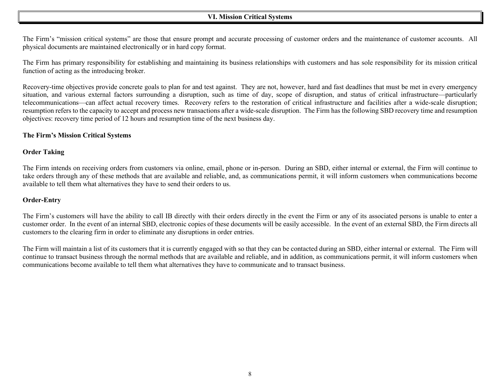# **VI. Mission Critical Systems**

<span id="page-7-0"></span>The Firm's "mission critical systems" are those that ensure prompt and accurate processing of customer orders and the maintenance of customer accounts. All physical documents are maintained electronically or in hard copy format.

The Firm has primary responsibility for establishing and maintaining its business relationships with customers and has sole responsibility for its mission critical function of acting as the introducing broker.

Recovery-time objectives provide concrete goals to plan for and test against. They are not, however, hard and fast deadlines that must be met in every emergency situation, and various external factors surrounding a disruption, such as time of day, scope of disruption, and status of critical infrastructure—particularly telecommunications—can affect actual recovery times. Recovery refers to the restoration of critical infrastructure and facilities after a wide-scale disruption; resumption refers to the capacity to accept and process new transactions after a wide-scale disruption. The Firm has the following SBD recovery time and resumption objectives: recovery time period of 12 hours and resumption time of the next business day.

#### **The Firm's Mission Critical Systems**

#### **Order Taking**

The Firm intends on receiving orders from customers via online, email, phone or in-person. During an SBD, either internal or external, the Firm will continue to take orders through any of these methods that are available and reliable, and, as communications permit, it will inform customers when communications become available to tell them what alternatives they have to send their orders to us.

# **Order-Entry**

The Firm's customers will have the ability to call IB directly with their orders directly in the event the Firm or any of its associated persons is unable to enter a customer order. In the event of an internal SBD, electronic copies of these documents will be easily accessible. In the event of an external SBD, the Firm directs all customers to the clearing firm in order to eliminate any disruptions in order entries.

The Firm will maintain a list of its customers that it is currently engaged with so that they can be contacted during an SBD, either internal or external. The Firm will continue to transact business through the normal methods that are available and reliable, and in addition, as communications permit, it will inform customers when communications become available to tell them what alternatives they have to communicate and to transact business.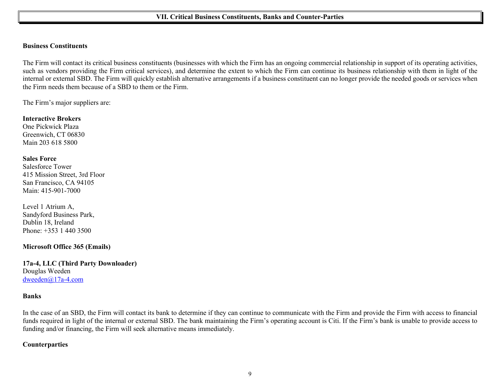#### <span id="page-8-0"></span>**Business Constituents**

The Firm will contact its critical business constituents (businesses with which the Firm has an ongoing commercial relationship in support of its operating activities, such as vendors providing the Firm critical services), and determine the extent to which the Firm can continue its business relationship with them in light of the internal or external SBD. The Firm will quickly establish alternative arrangements if a business constituent can no longer provide the needed goods or services when the Firm needs them because of a SBD to them or the Firm.

The Firm's major suppliers are:

**Interactive Brokers** One Pickwick Plaza Greenwich, CT 06830 Main 203 618 5800

#### **Sales Force**

Salesforce Tower 415 Mission Street, 3rd Floor San Francisco, CA 94105 Main: 415-901-7000

Level 1 Atrium A, Sandyford Business Park, Dublin 18, Ireland [Phone:](https://www.google.com/search?rlz=1C1VFKB_enUS657US657&site=async/lcl_akp&q=slalesforce+phone&ludocid=5907759547209868648&sa=X&ved=2ahUKEwifoo3s5onfAhXsRt8KHdOWDz8Q6BMwBXoECAEQHQ) +353 1 440 3500

# **Microsoft Office 365 (Emails)**

**17a-4, LLC (Third Party Downloader)** Douglas Weeden [dweeden@17a-4.com](mailto:dweeden@17a-4.com)

#### **Banks**

In the case of an SBD, the Firm will contact its bank to determine if they can continue to communicate with the Firm and provide the Firm with access to financial funds required in light of the internal or external SBD. The bank maintaining the Firm's operating account is Citi. If the Firm's bank is unable to provide access to funding and/or financing, the Firm will seek alternative means immediately.

# **Counterparties**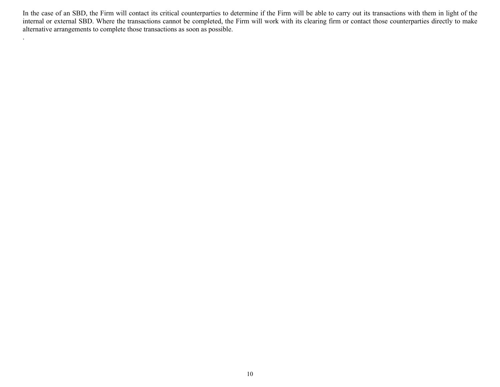In the case of an SBD, the Firm will contact its critical counterparties to determine if the Firm will be able to carry out its transactions with them in light of the internal or external SBD. Where the transactions cannot be completed, the Firm will work with its clearing firm or contact those counterparties directly to make alternative arrangements to complete those transactions as soon as possible.

.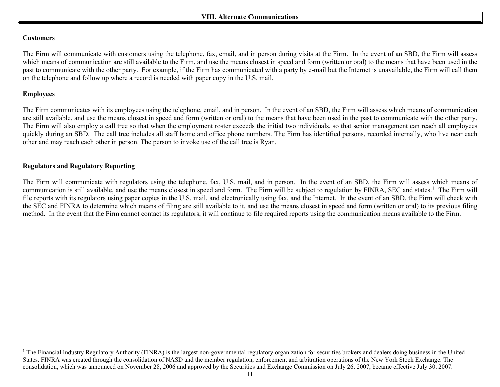## <span id="page-10-1"></span><span id="page-10-0"></span>**Customers**

The Firm will communicate with customers using the telephone, fax, email, and in person during visits at the Firm. In the event of an SBD, the Firm will assess which means of communication are still available to the Firm, and use the means closest in speed and form (written or oral) to the means that have been used in the past to communicate with the other party. For example, if the Firm has communicated with a party by e-mail but the Internet is unavailable, the Firm will call them on the telephone and follow up where a record is needed with paper copy in the U.S. mail.

# **Employees**

The Firm communicates with its employees using the telephone, email, and in person. In the event of an SBD, the Firm will assess which means of communication are still available, and use the means closest in speed and form (written or oral) to the means that have been used in the past to communicate with the other party. The Firm will also employ a call tree so that when the employment roster exceeds the initial two individuals, so that senior management can reach all employees quickly during an SBD. The call tree includes all staff home and office phone numbers. The Firm has identified persons, recorded internally, who live near each other and may reach each other in person. The person to invoke use of the call tree is Ryan.

# **Regulators and Regulatory Reporting**

The Firm will communicate with regulators using the telephone, fax, U.S. mail, and in person. In the event of an SBD, the Firm will assess which means of communication is still available, and use the means closest in speed and form. The Firm will be subject to regulation by FINRA, SEC and states.<sup>[1](#page-10-1)</sup> The Firm will file reports with its regulators using paper copies in the U.S. mail, and electronically using fax, and the Internet. In the event of an SBD, the Firm will check with the SEC and FINRA to determine which means of filing are still available to it, and use the means closest in speed and form (written or oral) to its previous filing method. In the event that the Firm cannot contact its regulators, it will continue to file required reports using the communication means available to the Firm.

<sup>&</sup>lt;sup>1</sup> The Financial Industry Regulatory Authority (FINRA) is the largest non-governmental regulatory organization for securities brokers and dealers doing business in the United States. FINRA was created through the consolidation of NASD and the member regulation, enforcement and arbitration operations of the New York Stock Exchange. The consolidation, which was announced on November 28, 2006 and approved by the Securities and Exchange Commission on July 26, 2007, became effective July 30, 2007.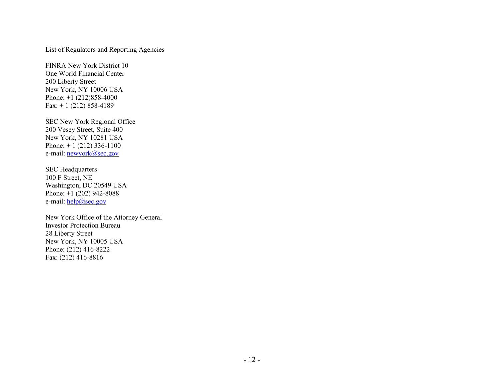# List of Regulators and Reporting Agencies

FINRA New York District 10 One World Financial Center 200 Liberty Street New York, NY 10006 USA Phone: +1 (212)858-4000 Fax:  $+ 1$  (212) 858-4189

SEC New York Regional Office 200 Vesey Street, Suite 400 New York, NY 10281 USA Phone:  $+ 1$  (212) 336-1100 e-mail: <u>newyork@sec.gov</u>

SEC Headquarters 100 F Street, NE Washington, DC 20549 USA Phone: +1 (202) 942-8088 e-mail: [help@sec.gov](mailto:help@sec.gov)

<span id="page-11-0"></span>New York Office of the Attorney General Investor Protection Bureau 28 Liberty Street New York, NY 10005 USA Phone: (212) 416-8222 Fax: (212) 416-8816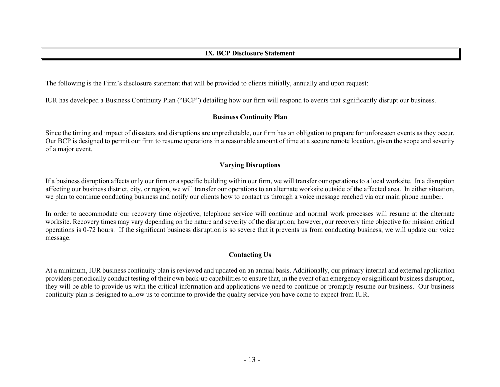The following is the Firm's disclosure statement that will be provided to clients initially, annually and upon request:

IUR has developed a Business Continuity Plan ("BCP") detailing how our firm will respond to events that significantly disrupt our business.

# **Business Continuity Plan**

Since the timing and impact of disasters and disruptions are unpredictable, our firm has an obligation to prepare for unforeseen events as they occur. Our BCP is designed to permit our firm to resume operations in a reasonable amount of time at a secure remote location, given the scope and severity of a major event.

# **Varying Disruptions**

If a business disruption affects only our firm or a specific building within our firm, we will transfer our operations to a local worksite. In a disruption affecting our business district, city, or region, we will transfer our operations to an alternate worksite outside of the affected area. In either situation, we plan to continue conducting business and notify our clients how to contact us through a voice message reached via our main phone number.

In order to accommodate our recovery time objective, telephone service will continue and normal work processes will resume at the alternate worksite. Recovery times may vary depending on the nature and severity of the disruption; however, our recovery time objective for mission critical operations is 0-72 hours. If the significant business disruption is so severe that it prevents us from conducting business, we will update our voice message.

# **Contacting Us**

<span id="page-12-0"></span>At a minimum, IUR business continuity plan is reviewed and updated on an annual basis. Additionally, our primary internal and external application providers periodically conduct testing of their own back-up capabilities to ensure that, in the event of an emergency or significant business disruption, they will be able to provide us with the critical information and applications we need to continue or promptly resume our business. Our business continuity plan is designed to allow us to continue to provide the quality service you have come to expect from IUR.